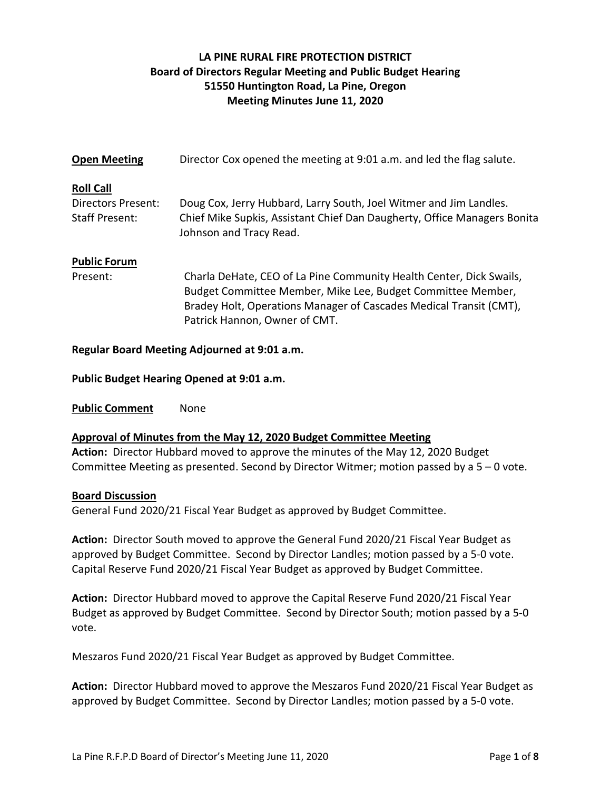# **LA PINE RURAL FIRE PROTECTION DISTRICT Board of Directors Regular Meeting and Public Budget Hearing 51550 Huntington Road, La Pine, Oregon Meeting Minutes June 11, 2020**

| <b>Open Meeting</b>                         | Director Cox opened the meeting at 9:01 a.m. and led the flag salute.                                                                                                                                                                     |
|---------------------------------------------|-------------------------------------------------------------------------------------------------------------------------------------------------------------------------------------------------------------------------------------------|
| <b>Roll Call</b>                            |                                                                                                                                                                                                                                           |
| Directors Present:<br><b>Staff Present:</b> | Doug Cox, Jerry Hubbard, Larry South, Joel Witmer and Jim Landles.<br>Chief Mike Supkis, Assistant Chief Dan Daugherty, Office Managers Bonita<br>Johnson and Tracy Read.                                                                 |
| <b>Public Forum</b>                         |                                                                                                                                                                                                                                           |
| Present:                                    | Charla DeHate, CEO of La Pine Community Health Center, Dick Swails,<br>Budget Committee Member, Mike Lee, Budget Committee Member,<br>Bradey Holt, Operations Manager of Cascades Medical Transit (CMT),<br>Patrick Hannon, Owner of CMT. |

**Regular Board Meeting Adjourned at 9:01 a.m.**

**Public Budget Hearing Opened at 9:01 a.m.**

**Public Comment** None

**Approval of Minutes from the May 12, 2020 Budget Committee Meeting**

**Action:** Director Hubbard moved to approve the minutes of the May 12, 2020 Budget Committee Meeting as presented. Second by Director Witmer; motion passed by a 5 – 0 vote.

#### **Board Discussion**

General Fund 2020/21 Fiscal Year Budget as approved by Budget Committee.

**Action:** Director South moved to approve the General Fund 2020/21 Fiscal Year Budget as approved by Budget Committee. Second by Director Landles; motion passed by a 5-0 vote. Capital Reserve Fund 2020/21 Fiscal Year Budget as approved by Budget Committee.

**Action:** Director Hubbard moved to approve the Capital Reserve Fund 2020/21 Fiscal Year Budget as approved by Budget Committee. Second by Director South; motion passed by a 5-0 vote.

Meszaros Fund 2020/21 Fiscal Year Budget as approved by Budget Committee.

**Action:** Director Hubbard moved to approve the Meszaros Fund 2020/21 Fiscal Year Budget as approved by Budget Committee. Second by Director Landles; motion passed by a 5-0 vote.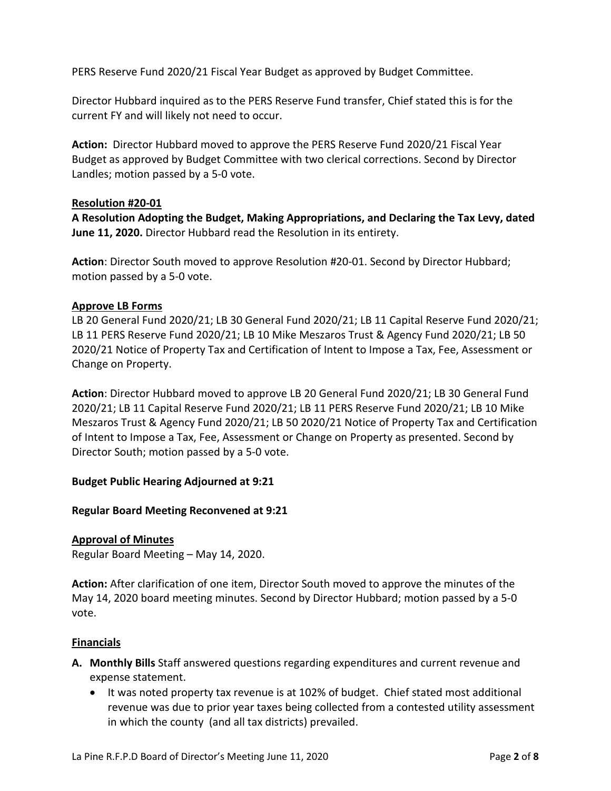PERS Reserve Fund 2020/21 Fiscal Year Budget as approved by Budget Committee.

Director Hubbard inquired as to the PERS Reserve Fund transfer, Chief stated this is for the current FY and will likely not need to occur.

**Action:** Director Hubbard moved to approve the PERS Reserve Fund 2020/21 Fiscal Year Budget as approved by Budget Committee with two clerical corrections. Second by Director Landles; motion passed by a 5-0 vote.

## **Resolution #20-01**

**A Resolution Adopting the Budget, Making Appropriations, and Declaring the Tax Levy, dated June 11, 2020.** Director Hubbard read the Resolution in its entirety.

**Action**: Director South moved to approve Resolution #20-01. Second by Director Hubbard; motion passed by a 5-0 vote.

## **Approve LB Forms**

LB 20 General Fund 2020/21; LB 30 General Fund 2020/21; LB 11 Capital Reserve Fund 2020/21; LB 11 PERS Reserve Fund 2020/21; LB 10 Mike Meszaros Trust & Agency Fund 2020/21; LB 50 2020/21 Notice of Property Tax and Certification of Intent to Impose a Tax, Fee, Assessment or Change on Property.

**Action**: Director Hubbard moved to approve LB 20 General Fund 2020/21; LB 30 General Fund 2020/21; LB 11 Capital Reserve Fund 2020/21; LB 11 PERS Reserve Fund 2020/21; LB 10 Mike Meszaros Trust & Agency Fund 2020/21; LB 50 2020/21 Notice of Property Tax and Certification of Intent to Impose a Tax, Fee, Assessment or Change on Property as presented. Second by Director South; motion passed by a 5-0 vote.

## **Budget Public Hearing Adjourned at 9:21**

## **Regular Board Meeting Reconvened at 9:21**

#### **Approval of Minutes**

Regular Board Meeting – May 14, 2020.

**Action:** After clarification of one item, Director South moved to approve the minutes of the May 14, 2020 board meeting minutes. Second by Director Hubbard; motion passed by a 5-0 vote.

## **Financials**

- **A. Monthly Bills** Staff answered questions regarding expenditures and current revenue and expense statement.
	- It was noted property tax revenue is at 102% of budget. Chief stated most additional revenue was due to prior year taxes being collected from a contested utility assessment in which the county (and all tax districts) prevailed.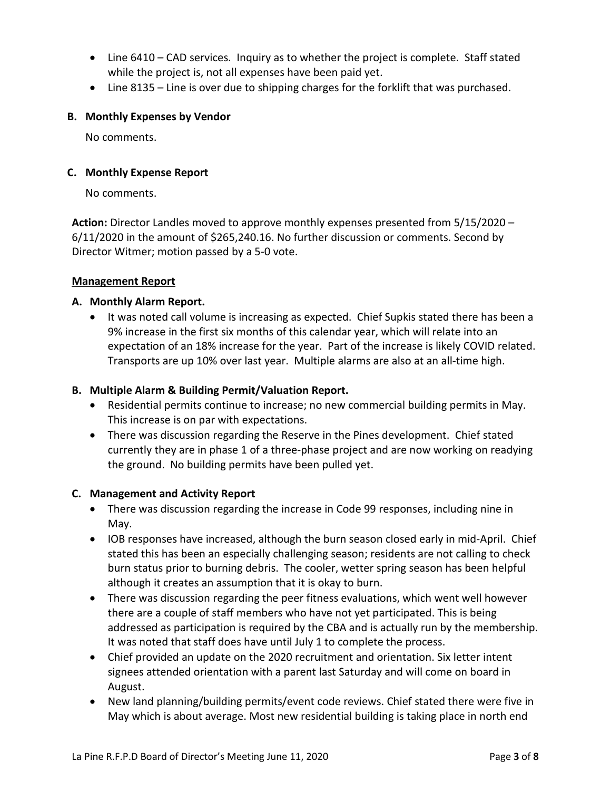- Line 6410 CAD services. Inquiry as to whether the project is complete. Staff stated while the project is, not all expenses have been paid yet.
- Line 8135 Line is over due to shipping charges for the forklift that was purchased.

## **B. Monthly Expenses by Vendor**

No comments.

## **C. Monthly Expense Report**

No comments.

**Action:** Director Landles moved to approve monthly expenses presented from 5/15/2020 – 6/11/2020 in the amount of \$265,240.16. No further discussion or comments. Second by Director Witmer; motion passed by a 5-0 vote.

## **Management Report**

## **A. Monthly Alarm Report.**

• It was noted call volume is increasing as expected. Chief Supkis stated there has been a 9% increase in the first six months of this calendar year, which will relate into an expectation of an 18% increase for the year. Part of the increase is likely COVID related. Transports are up 10% over last year. Multiple alarms are also at an all-time high.

## **B. Multiple Alarm & Building Permit/Valuation Report.**

- Residential permits continue to increase; no new commercial building permits in May. This increase is on par with expectations.
- There was discussion regarding the Reserve in the Pines development. Chief stated currently they are in phase 1 of a three-phase project and are now working on readying the ground. No building permits have been pulled yet.

## **C. Management and Activity Report**

- There was discussion regarding the increase in Code 99 responses, including nine in May.
- IOB responses have increased, although the burn season closed early in mid-April. Chief stated this has been an especially challenging season; residents are not calling to check burn status prior to burning debris. The cooler, wetter spring season has been helpful although it creates an assumption that it is okay to burn.
- There was discussion regarding the peer fitness evaluations, which went well however there are a couple of staff members who have not yet participated. This is being addressed as participation is required by the CBA and is actually run by the membership. It was noted that staff does have until July 1 to complete the process.
- Chief provided an update on the 2020 recruitment and orientation. Six letter intent signees attended orientation with a parent last Saturday and will come on board in August.
- New land planning/building permits/event code reviews. Chief stated there were five in May which is about average. Most new residential building is taking place in north end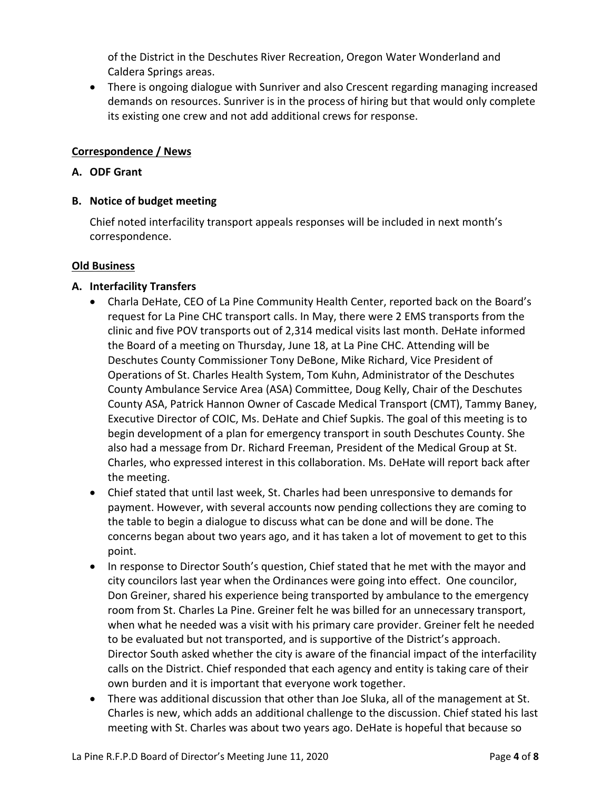of the District in the Deschutes River Recreation, Oregon Water Wonderland and Caldera Springs areas.

• There is ongoing dialogue with Sunriver and also Crescent regarding managing increased demands on resources. Sunriver is in the process of hiring but that would only complete its existing one crew and not add additional crews for response.

## **Correspondence / News**

## **A. ODF Grant**

## **B. Notice of budget meeting**

Chief noted interfacility transport appeals responses will be included in next month's correspondence.

## **Old Business**

## **A. Interfacility Transfers**

- Charla DeHate, CEO of La Pine Community Health Center, reported back on the Board's request for La Pine CHC transport calls. In May, there were 2 EMS transports from the clinic and five POV transports out of 2,314 medical visits last month. DeHate informed the Board of a meeting on Thursday, June 18, at La Pine CHC. Attending will be Deschutes County Commissioner Tony DeBone, Mike Richard, Vice President of Operations of St. Charles Health System, Tom Kuhn, Administrator of the Deschutes County Ambulance Service Area (ASA) Committee, Doug Kelly, Chair of the Deschutes County ASA, Patrick Hannon Owner of Cascade Medical Transport (CMT), Tammy Baney, Executive Director of COIC, Ms. DeHate and Chief Supkis. The goal of this meeting is to begin development of a plan for emergency transport in south Deschutes County. She also had a message from Dr. Richard Freeman, President of the Medical Group at St. Charles, who expressed interest in this collaboration. Ms. DeHate will report back after the meeting.
- Chief stated that until last week, St. Charles had been unresponsive to demands for payment. However, with several accounts now pending collections they are coming to the table to begin a dialogue to discuss what can be done and will be done. The concerns began about two years ago, and it has taken a lot of movement to get to this point.
- In response to Director South's question, Chief stated that he met with the mayor and city councilors last year when the Ordinances were going into effect. One councilor, Don Greiner, shared his experience being transported by ambulance to the emergency room from St. Charles La Pine. Greiner felt he was billed for an unnecessary transport, when what he needed was a visit with his primary care provider. Greiner felt he needed to be evaluated but not transported, and is supportive of the District's approach. Director South asked whether the city is aware of the financial impact of the interfacility calls on the District. Chief responded that each agency and entity is taking care of their own burden and it is important that everyone work together.
- There was additional discussion that other than Joe Sluka, all of the management at St. Charles is new, which adds an additional challenge to the discussion. Chief stated his last meeting with St. Charles was about two years ago. DeHate is hopeful that because so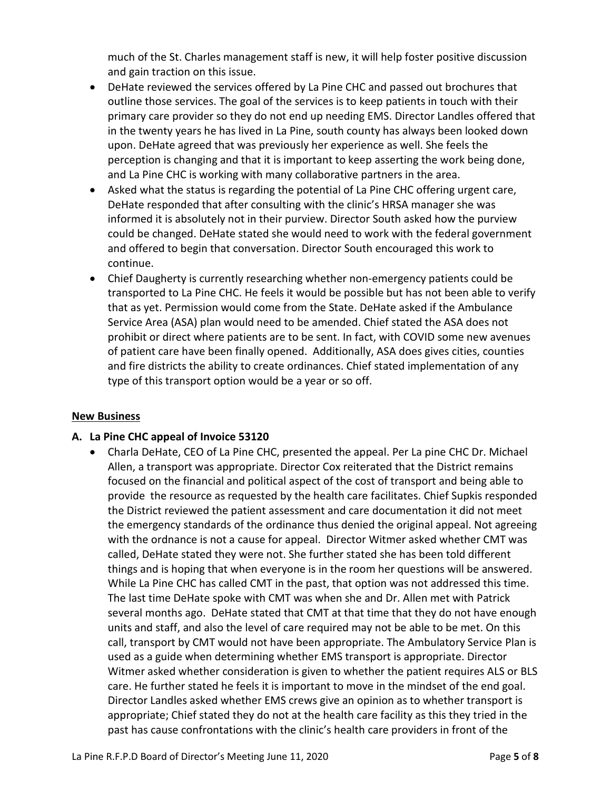much of the St. Charles management staff is new, it will help foster positive discussion and gain traction on this issue.

- DeHate reviewed the services offered by La Pine CHC and passed out brochures that outline those services. The goal of the services is to keep patients in touch with their primary care provider so they do not end up needing EMS. Director Landles offered that in the twenty years he has lived in La Pine, south county has always been looked down upon. DeHate agreed that was previously her experience as well. She feels the perception is changing and that it is important to keep asserting the work being done, and La Pine CHC is working with many collaborative partners in the area.
- Asked what the status is regarding the potential of La Pine CHC offering urgent care, DeHate responded that after consulting with the clinic's HRSA manager she was informed it is absolutely not in their purview. Director South asked how the purview could be changed. DeHate stated she would need to work with the federal government and offered to begin that conversation. Director South encouraged this work to continue.
- Chief Daugherty is currently researching whether non-emergency patients could be transported to La Pine CHC. He feels it would be possible but has not been able to verify that as yet. Permission would come from the State. DeHate asked if the Ambulance Service Area (ASA) plan would need to be amended. Chief stated the ASA does not prohibit or direct where patients are to be sent. In fact, with COVID some new avenues of patient care have been finally opened. Additionally, ASA does gives cities, counties and fire districts the ability to create ordinances. Chief stated implementation of any type of this transport option would be a year or so off.

## **New Business**

## **A. La Pine CHC appeal of Invoice 53120**

• Charla DeHate, CEO of La Pine CHC, presented the appeal. Per La pine CHC Dr. Michael Allen, a transport was appropriate. Director Cox reiterated that the District remains focused on the financial and political aspect of the cost of transport and being able to provide the resource as requested by the health care facilitates. Chief Supkis responded the District reviewed the patient assessment and care documentation it did not meet the emergency standards of the ordinance thus denied the original appeal. Not agreeing with the ordnance is not a cause for appeal. Director Witmer asked whether CMT was called, DeHate stated they were not. She further stated she has been told different things and is hoping that when everyone is in the room her questions will be answered. While La Pine CHC has called CMT in the past, that option was not addressed this time. The last time DeHate spoke with CMT was when she and Dr. Allen met with Patrick several months ago. DeHate stated that CMT at that time that they do not have enough units and staff, and also the level of care required may not be able to be met. On this call, transport by CMT would not have been appropriate. The Ambulatory Service Plan is used as a guide when determining whether EMS transport is appropriate. Director Witmer asked whether consideration is given to whether the patient requires ALS or BLS care. He further stated he feels it is important to move in the mindset of the end goal. Director Landles asked whether EMS crews give an opinion as to whether transport is appropriate; Chief stated they do not at the health care facility as this they tried in the past has cause confrontations with the clinic's health care providers in front of the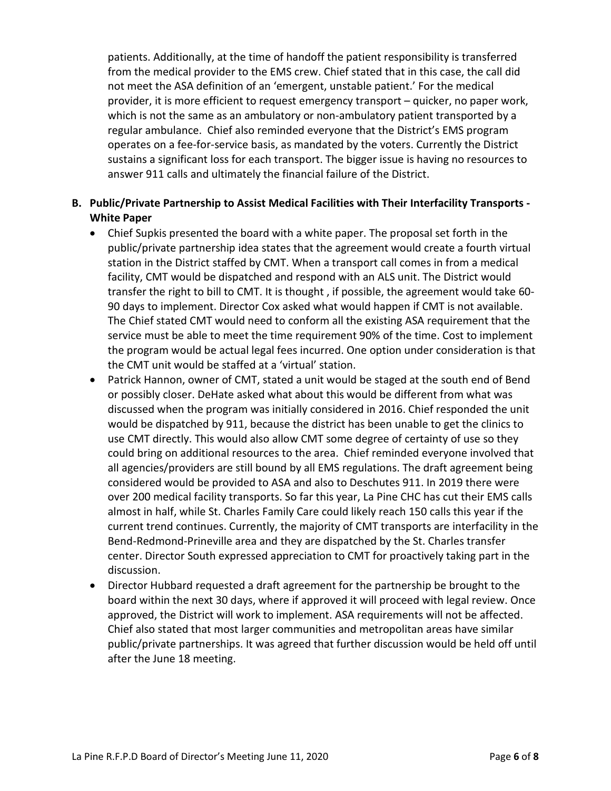patients. Additionally, at the time of handoff the patient responsibility is transferred from the medical provider to the EMS crew. Chief stated that in this case, the call did not meet the ASA definition of an 'emergent, unstable patient.' For the medical provider, it is more efficient to request emergency transport – quicker, no paper work, which is not the same as an ambulatory or non-ambulatory patient transported by a regular ambulance. Chief also reminded everyone that the District's EMS program operates on a fee-for-service basis, as mandated by the voters. Currently the District sustains a significant loss for each transport. The bigger issue is having no resources to answer 911 calls and ultimately the financial failure of the District.

# **B. Public/Private Partnership to Assist Medical Facilities with Their Interfacility Transports - White Paper**

- Chief Supkis presented the board with a white paper. The proposal set forth in the public/private partnership idea states that the agreement would create a fourth virtual station in the District staffed by CMT. When a transport call comes in from a medical facility, CMT would be dispatched and respond with an ALS unit. The District would transfer the right to bill to CMT. It is thought , if possible, the agreement would take 60- 90 days to implement. Director Cox asked what would happen if CMT is not available. The Chief stated CMT would need to conform all the existing ASA requirement that the service must be able to meet the time requirement 90% of the time. Cost to implement the program would be actual legal fees incurred. One option under consideration is that the CMT unit would be staffed at a 'virtual' station.
- Patrick Hannon, owner of CMT, stated a unit would be staged at the south end of Bend or possibly closer. DeHate asked what about this would be different from what was discussed when the program was initially considered in 2016. Chief responded the unit would be dispatched by 911, because the district has been unable to get the clinics to use CMT directly. This would also allow CMT some degree of certainty of use so they could bring on additional resources to the area. Chief reminded everyone involved that all agencies/providers are still bound by all EMS regulations. The draft agreement being considered would be provided to ASA and also to Deschutes 911. In 2019 there were over 200 medical facility transports. So far this year, La Pine CHC has cut their EMS calls almost in half, while St. Charles Family Care could likely reach 150 calls this year if the current trend continues. Currently, the majority of CMT transports are interfacility in the Bend-Redmond-Prineville area and they are dispatched by the St. Charles transfer center. Director South expressed appreciation to CMT for proactively taking part in the discussion.
- Director Hubbard requested a draft agreement for the partnership be brought to the board within the next 30 days, where if approved it will proceed with legal review. Once approved, the District will work to implement. ASA requirements will not be affected. Chief also stated that most larger communities and metropolitan areas have similar public/private partnerships. It was agreed that further discussion would be held off until after the June 18 meeting.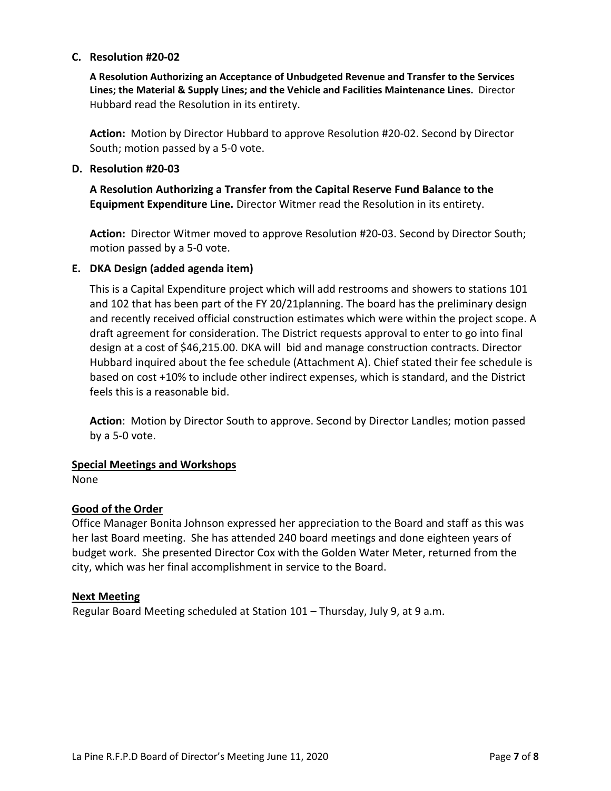#### **C. Resolution #20-02**

**A Resolution Authorizing an Acceptance of Unbudgeted Revenue and Transfer to the Services Lines; the Material & Supply Lines; and the Vehicle and Facilities Maintenance Lines.** Director Hubbard read the Resolution in its entirety.

**Action:** Motion by Director Hubbard to approve Resolution #20-02. Second by Director South; motion passed by a 5-0 vote.

#### **D. Resolution #20-03**

**A Resolution Authorizing a Transfer from the Capital Reserve Fund Balance to the Equipment Expenditure Line.** Director Witmer read the Resolution in its entirety.

**Action:** Director Witmer moved to approve Resolution #20-03. Second by Director South; motion passed by a 5-0 vote.

#### **E. DKA Design (added agenda item)**

This is a Capital Expenditure project which will add restrooms and showers to stations 101 and 102 that has been part of the FY 20/21planning. The board has the preliminary design and recently received official construction estimates which were within the project scope. A draft agreement for consideration. The District requests approval to enter to go into final design at a cost of \$46,215.00. DKA will bid and manage construction contracts. Director Hubbard inquired about the fee schedule (Attachment A). Chief stated their fee schedule is based on cost +10% to include other indirect expenses, which is standard, and the District feels this is a reasonable bid.

**Action**: Motion by Director South to approve. Second by Director Landles; motion passed by a 5-0 vote.

#### **Special Meetings and Workshops**

None

## **Good of the Order**

Office Manager Bonita Johnson expressed her appreciation to the Board and staff as this was her last Board meeting. She has attended 240 board meetings and done eighteen years of budget work. She presented Director Cox with the Golden Water Meter, returned from the city, which was her final accomplishment in service to the Board.

#### **Next Meeting**

Regular Board Meeting scheduled at Station 101 – Thursday, July 9, at 9 a.m.